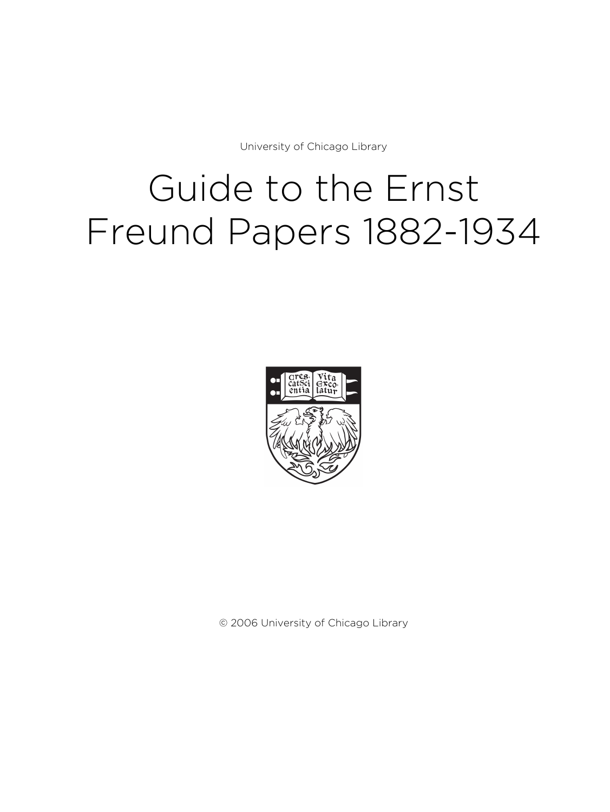University of Chicago Library

# Guide to the Ernst Freund Papers 1882-1934



© 2006 University of Chicago Library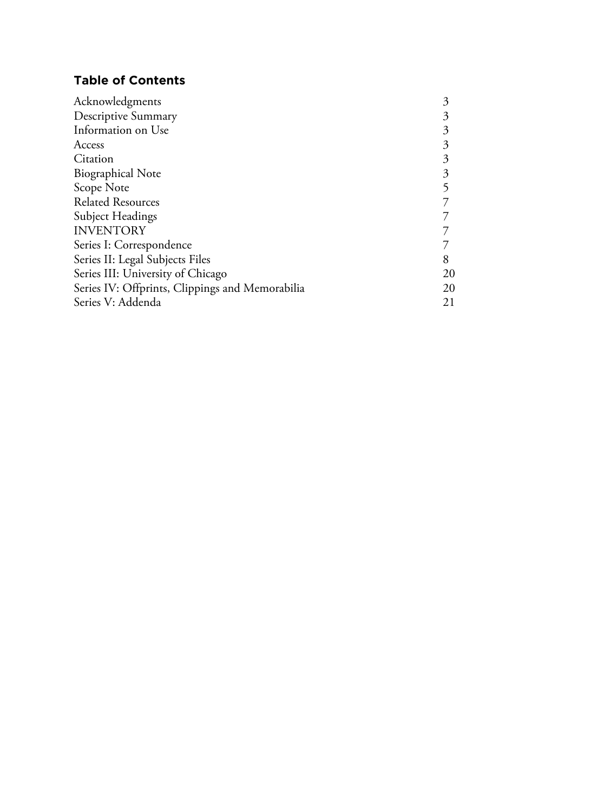# **Table of Contents**

| Acknowledgments                                 | 3  |
|-------------------------------------------------|----|
| <b>Descriptive Summary</b>                      | 3  |
| Information on Use                              | 3  |
| Access                                          | 3  |
| Citation                                        | 3  |
| <b>Biographical Note</b>                        | 3  |
| Scope Note                                      |    |
| <b>Related Resources</b>                        |    |
| Subject Headings                                |    |
| <b>INVENTORY</b>                                |    |
| Series I: Correspondence                        |    |
| Series II: Legal Subjects Files                 |    |
| Series III: University of Chicago               | 20 |
| Series IV: Offprints, Clippings and Memorabilia | 20 |
| Series V: Addenda                               | 21 |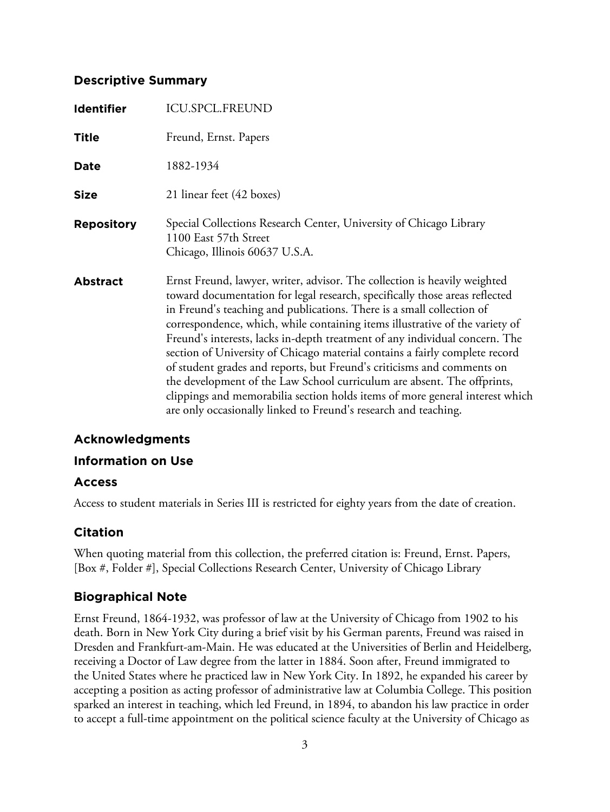## **Descriptive Summary**

| Identifier        | <b>ICU.SPCL.FREUND</b>                                                                                                                                                                                                                                                                                                                                                                                                                                                                                                                                                                                                                                                                                                                                                                  |
|-------------------|-----------------------------------------------------------------------------------------------------------------------------------------------------------------------------------------------------------------------------------------------------------------------------------------------------------------------------------------------------------------------------------------------------------------------------------------------------------------------------------------------------------------------------------------------------------------------------------------------------------------------------------------------------------------------------------------------------------------------------------------------------------------------------------------|
| <b>Title</b>      | Freund, Ernst. Papers                                                                                                                                                                                                                                                                                                                                                                                                                                                                                                                                                                                                                                                                                                                                                                   |
| Date              | 1882-1934                                                                                                                                                                                                                                                                                                                                                                                                                                                                                                                                                                                                                                                                                                                                                                               |
| <b>Size</b>       | 21 linear feet (42 boxes)                                                                                                                                                                                                                                                                                                                                                                                                                                                                                                                                                                                                                                                                                                                                                               |
| <b>Repository</b> | Special Collections Research Center, University of Chicago Library<br>1100 East 57th Street<br>Chicago, Illinois 60637 U.S.A.                                                                                                                                                                                                                                                                                                                                                                                                                                                                                                                                                                                                                                                           |
| <b>Abstract</b>   | Ernst Freund, lawyer, writer, advisor. The collection is heavily weighted<br>toward documentation for legal research, specifically those areas reflected<br>in Freund's teaching and publications. There is a small collection of<br>correspondence, which, while containing items illustrative of the variety of<br>Freund's interests, lacks in-depth treatment of any individual concern. The<br>section of University of Chicago material contains a fairly complete record<br>of student grades and reports, but Freund's criticisms and comments on<br>the development of the Law School curriculum are absent. The offprints,<br>clippings and memorabilia section holds items of more general interest which<br>are only occasionally linked to Freund's research and teaching. |

## **Acknowledgments**

## **Information on Use**

## **Access**

Access to student materials in Series III is restricted for eighty years from the date of creation.

## **Citation**

When quoting material from this collection, the preferred citation is: Freund, Ernst. Papers, [Box #, Folder #], Special Collections Research Center, University of Chicago Library

# **Biographical Note**

Ernst Freund, 1864-1932, was professor of law at the University of Chicago from 1902 to his death. Born in New York City during a brief visit by his German parents, Freund was raised in Dresden and Frankfurt-am-Main. He was educated at the Universities of Berlin and Heidelberg, receiving a Doctor of Law degree from the latter in 1884. Soon after, Freund immigrated to the United States where he practiced law in New York City. In 1892, he expanded his career by accepting a position as acting professor of administrative law at Columbia College. This position sparked an interest in teaching, which led Freund, in 1894, to abandon his law practice in order to accept a full-time appointment on the political science faculty at the University of Chicago as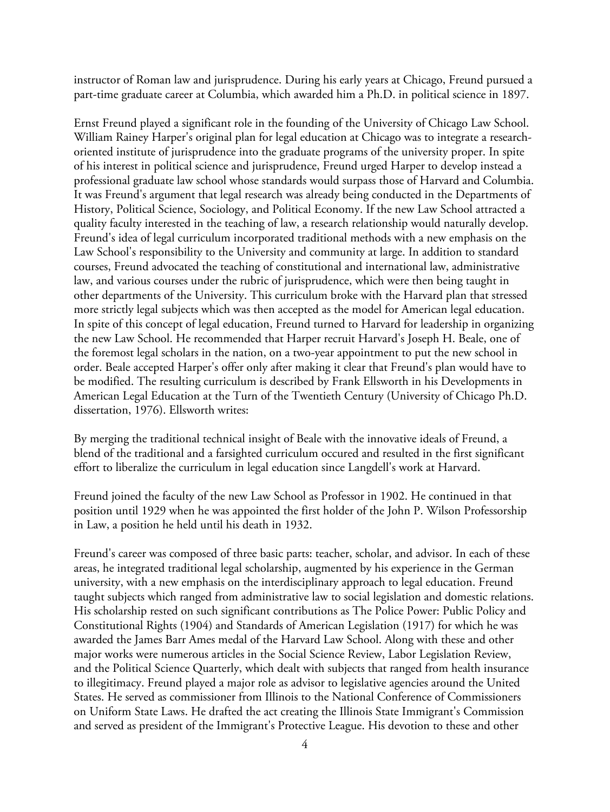instructor of Roman law and jurisprudence. During his early years at Chicago, Freund pursued a part-time graduate career at Columbia, which awarded him a Ph.D. in political science in 1897.

Ernst Freund played a significant role in the founding of the University of Chicago Law School. William Rainey Harper's original plan for legal education at Chicago was to integrate a researchoriented institute of jurisprudence into the graduate programs of the university proper. In spite of his interest in political science and jurisprudence, Freund urged Harper to develop instead a professional graduate law school whose standards would surpass those of Harvard and Columbia. It was Freund's argument that legal research was already being conducted in the Departments of History, Political Science, Sociology, and Political Economy. If the new Law School attracted a quality faculty interested in the teaching of law, a research relationship would naturally develop. Freund's idea of legal curriculum incorporated traditional methods with a new emphasis on the Law School's responsibility to the University and community at large. In addition to standard courses, Freund advocated the teaching of constitutional and international law, administrative law, and various courses under the rubric of jurisprudence, which were then being taught in other departments of the University. This curriculum broke with the Harvard plan that stressed more strictly legal subjects which was then accepted as the model for American legal education. In spite of this concept of legal education, Freund turned to Harvard for leadership in organizing the new Law School. He recommended that Harper recruit Harvard's Joseph H. Beale, one of the foremost legal scholars in the nation, on a two-year appointment to put the new school in order. Beale accepted Harper's offer only after making it clear that Freund's plan would have to be modified. The resulting curriculum is described by Frank Ellsworth in his Developments in American Legal Education at the Turn of the Twentieth Century (University of Chicago Ph.D. dissertation, 1976). Ellsworth writes:

By merging the traditional technical insight of Beale with the innovative ideals of Freund, a blend of the traditional and a farsighted curriculum occured and resulted in the first significant effort to liberalize the curriculum in legal education since Langdell's work at Harvard.

Freund joined the faculty of the new Law School as Professor in 1902. He continued in that position until 1929 when he was appointed the first holder of the John P. Wilson Professorship in Law, a position he held until his death in 1932.

Freund's career was composed of three basic parts: teacher, scholar, and advisor. In each of these areas, he integrated traditional legal scholarship, augmented by his experience in the German university, with a new emphasis on the interdisciplinary approach to legal education. Freund taught subjects which ranged from administrative law to social legislation and domestic relations. His scholarship rested on such significant contributions as The Police Power: Public Policy and Constitutional Rights (1904) and Standards of American Legislation (1917) for which he was awarded the James Barr Ames medal of the Harvard Law School. Along with these and other major works were numerous articles in the Social Science Review, Labor Legislation Review, and the Political Science Quarterly, which dealt with subjects that ranged from health insurance to illegitimacy. Freund played a major role as advisor to legislative agencies around the United States. He served as commissioner from Illinois to the National Conference of Commissioners on Uniform State Laws. He drafted the act creating the Illinois State Immigrant's Commission and served as president of the Immigrant's Protective League. His devotion to these and other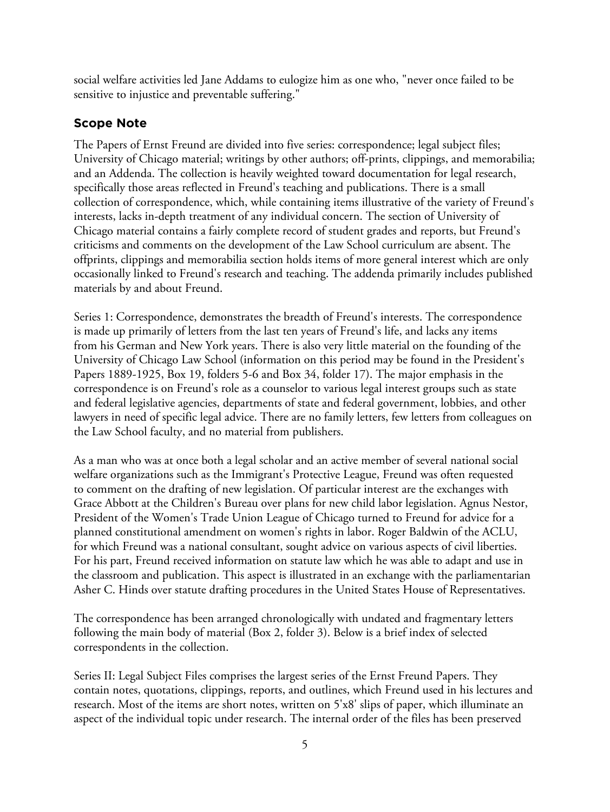social welfare activities led Jane Addams to eulogize him as one who, "never once failed to be sensitive to injustice and preventable suffering."

# **Scope Note**

The Papers of Ernst Freund are divided into five series: correspondence; legal subject files; University of Chicago material; writings by other authors; off-prints, clippings, and memorabilia; and an Addenda. The collection is heavily weighted toward documentation for legal research, specifically those areas reflected in Freund's teaching and publications. There is a small collection of correspondence, which, while containing items illustrative of the variety of Freund's interests, lacks in-depth treatment of any individual concern. The section of University of Chicago material contains a fairly complete record of student grades and reports, but Freund's criticisms and comments on the development of the Law School curriculum are absent. The offprints, clippings and memorabilia section holds items of more general interest which are only occasionally linked to Freund's research and teaching. The addenda primarily includes published materials by and about Freund.

Series 1: Correspondence, demonstrates the breadth of Freund's interests. The correspondence is made up primarily of letters from the last ten years of Freund's life, and lacks any items from his German and New York years. There is also very little material on the founding of the University of Chicago Law School (information on this period may be found in the President's Papers 1889-1925, Box 19, folders 5-6 and Box 34, folder 17). The major emphasis in the correspondence is on Freund's role as a counselor to various legal interest groups such as state and federal legislative agencies, departments of state and federal government, lobbies, and other lawyers in need of specific legal advice. There are no family letters, few letters from colleagues on the Law School faculty, and no material from publishers.

As a man who was at once both a legal scholar and an active member of several national social welfare organizations such as the Immigrant's Protective League, Freund was often requested to comment on the drafting of new legislation. Of particular interest are the exchanges with Grace Abbott at the Children's Bureau over plans for new child labor legislation. Agnus Nestor, President of the Women's Trade Union League of Chicago turned to Freund for advice for a planned constitutional amendment on women's rights in labor. Roger Baldwin of the ACLU, for which Freund was a national consultant, sought advice on various aspects of civil liberties. For his part, Freund received information on statute law which he was able to adapt and use in the classroom and publication. This aspect is illustrated in an exchange with the parliamentarian Asher C. Hinds over statute drafting procedures in the United States House of Representatives.

The correspondence has been arranged chronologically with undated and fragmentary letters following the main body of material (Box 2, folder 3). Below is a brief index of selected correspondents in the collection.

Series II: Legal Subject Files comprises the largest series of the Ernst Freund Papers. They contain notes, quotations, clippings, reports, and outlines, which Freund used in his lectures and research. Most of the items are short notes, written on 5'x8' slips of paper, which illuminate an aspect of the individual topic under research. The internal order of the files has been preserved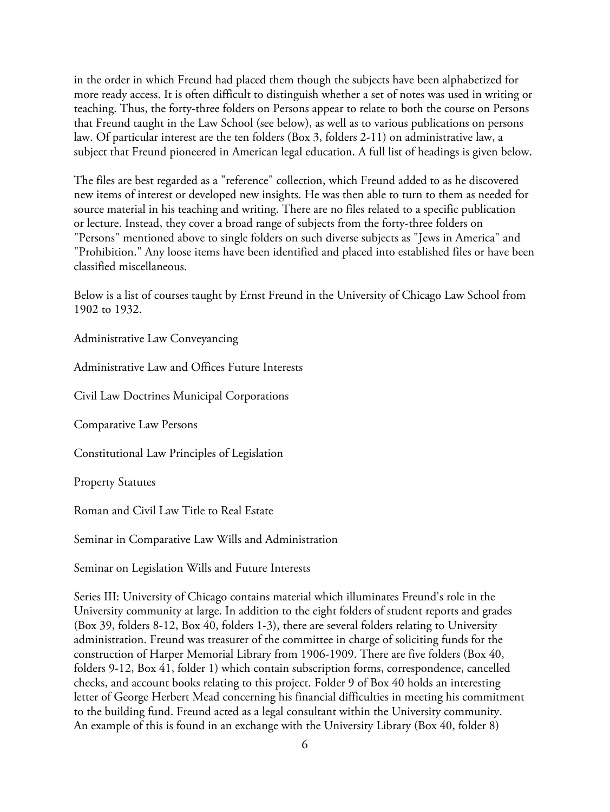in the order in which Freund had placed them though the subjects have been alphabetized for more ready access. It is often difficult to distinguish whether a set of notes was used in writing or teaching. Thus, the forty-three folders on Persons appear to relate to both the course on Persons that Freund taught in the Law School (see below), as well as to various publications on persons law. Of particular interest are the ten folders (Box 3, folders 2-11) on administrative law, a subject that Freund pioneered in American legal education. A full list of headings is given below.

The files are best regarded as a "reference" collection, which Freund added to as he discovered new items of interest or developed new insights. He was then able to turn to them as needed for source material in his teaching and writing. There are no files related to a specific publication or lecture. Instead, they cover a broad range of subjects from the forty-three folders on "Persons" mentioned above to single folders on such diverse subjects as "Jews in America" and "Prohibition." Any loose items have been identified and placed into established files or have been classified miscellaneous.

Below is a list of courses taught by Ernst Freund in the University of Chicago Law School from 1902 to 1932.

Administrative Law Conveyancing

Administrative Law and Offices Future Interests

Civil Law Doctrines Municipal Corporations

Comparative Law Persons

Constitutional Law Principles of Legislation

Property Statutes

Roman and Civil Law Title to Real Estate

Seminar in Comparative Law Wills and Administration

Seminar on Legislation Wills and Future Interests

Series III: University of Chicago contains material which illuminates Freund's role in the University community at large. In addition to the eight folders of student reports and grades (Box 39, folders 8-12, Box 40, folders 1-3), there are several folders relating to University administration. Freund was treasurer of the committee in charge of soliciting funds for the construction of Harper Memorial Library from 1906-1909. There are five folders (Box 40, folders 9-12, Box 41, folder 1) which contain subscription forms, correspondence, cancelled checks, and account books relating to this project. Folder 9 of Box 40 holds an interesting letter of George Herbert Mead concerning his financial difficulties in meeting his commitment to the building fund. Freund acted as a legal consultant within the University community. An example of this is found in an exchange with the University Library (Box 40, folder 8)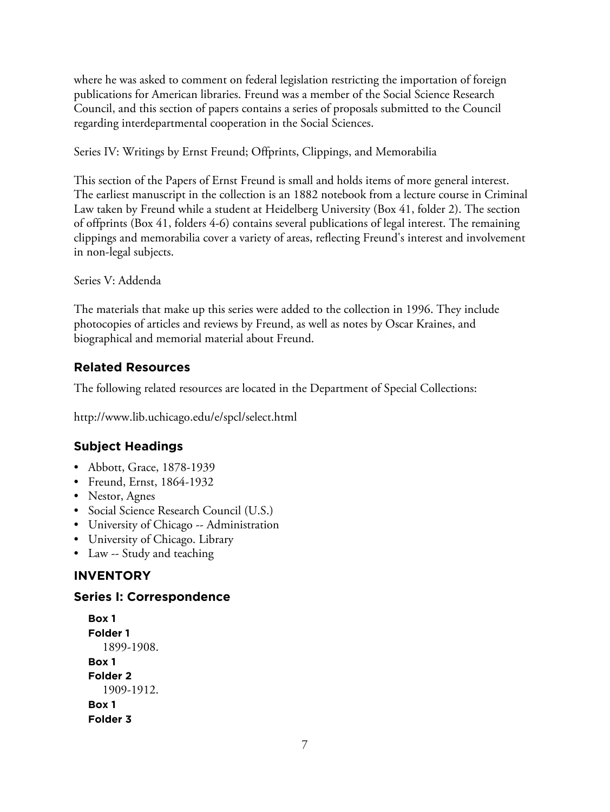where he was asked to comment on federal legislation restricting the importation of foreign publications for American libraries. Freund was a member of the Social Science Research Council, and this section of papers contains a series of proposals submitted to the Council regarding interdepartmental cooperation in the Social Sciences.

Series IV: Writings by Ernst Freund; Offprints, Clippings, and Memorabilia

This section of the Papers of Ernst Freund is small and holds items of more general interest. The earliest manuscript in the collection is an 1882 notebook from a lecture course in Criminal Law taken by Freund while a student at Heidelberg University (Box 41, folder 2). The section of offprints (Box 41, folders 4-6) contains several publications of legal interest. The remaining clippings and memorabilia cover a variety of areas, reflecting Freund's interest and involvement in non-legal subjects.

Series V: Addenda

The materials that make up this series were added to the collection in 1996. They include photocopies of articles and reviews by Freund, as well as notes by Oscar Kraines, and biographical and memorial material about Freund.

# **Related Resources**

The following related resources are located in the Department of Special Collections:

http://www.lib.uchicago.edu/e/spcl/select.html

# **Subject Headings**

- Abbott, Grace, 1878-1939
- Freund, Ernst, 1864-1932
- Nestor, Agnes
- Social Science Research Council (U.S.)
- University of Chicago -- Administration
- University of Chicago. Library
- Law -- Study and teaching

# **INVENTORY**

## **Series I: Correspondence**

```
Box 1
Folder 1
  1899-1908.
Box 1
Folder 2
  1909-1912.
Box 1
Folder 3
```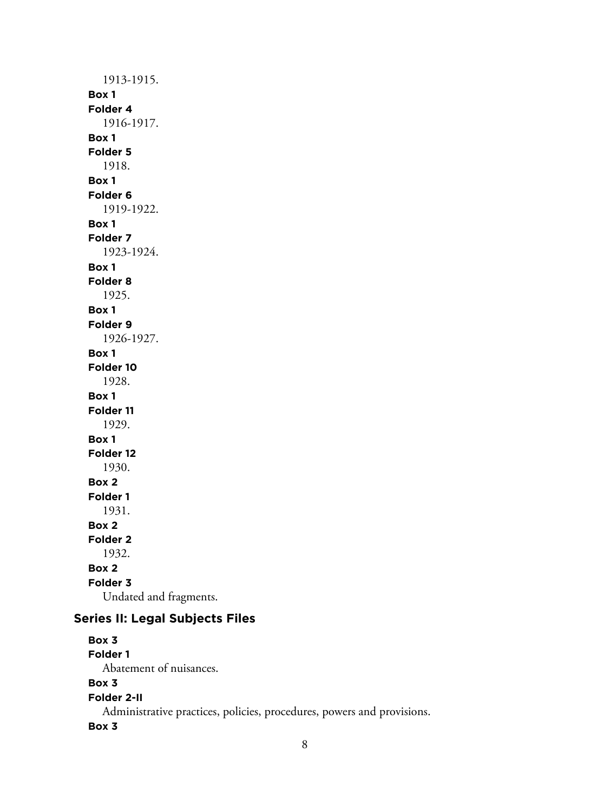1913-1915. **Box 1 Folder 4** 1916-1917. **Box 1 Folder 5** 1918. **Box 1 Folder 6** 1919-1922. **Box 1 Folder 7** 1923-1924. **Box 1 Folder 8** 1925. **Box 1 Folder 9** 1926-1927. **Box 1 Folder 10** 1928. **Box 1 Folder 11** 1929. **Box 1 Folder 12** 1930. **Box 2 Folder 1** 1931. **Box 2 Folder 2** 1932. **Box 2 Folder 3** Undated and fragments.

# **Series II: Legal Subjects Files**

**Box 3 Folder 1** Abatement of nuisances. **Box 3 Folder 2-II** Administrative practices, policies, procedures, powers and provisions. **Box 3**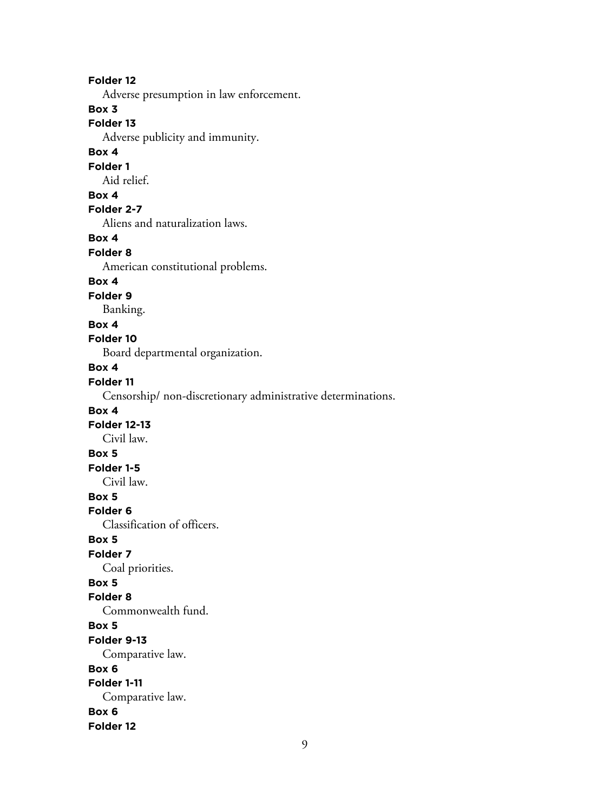#### **Folder 12**

Adverse presumption in law enforcement.

## **Box 3**

## **Folder 13**

Adverse publicity and immunity.

### **Box 4**

#### **Folder 1**

Aid relief.

## **Box 4**

## **Folder 2-7**

Aliens and naturalization laws.

## **Box 4**

#### **Folder 8**

American constitutional problems.

#### **Box 4**

## **Folder 9**

Banking.

#### **Box 4**

#### **Folder 10**

Board departmental organization.

## **Box 4**

## **Folder 11**

Censorship/ non-discretionary administrative determinations.

## **Box 4**

## **Folder 12-13**

Civil law.

# **Box 5**

## **Folder 1-5**

Civil law.

# **Box 5**

**Folder 6**

Classification of officers.

## **Box 5**

## **Folder 7**

Coal priorities.

## **Box 5**

#### **Folder 8**

Commonwealth fund.

#### **Box 5**

#### **Folder 9-13**

Comparative law.

#### **Box 6**

# **Folder 1-11**

Comparative law.

#### **Box 6**

**Folder 12**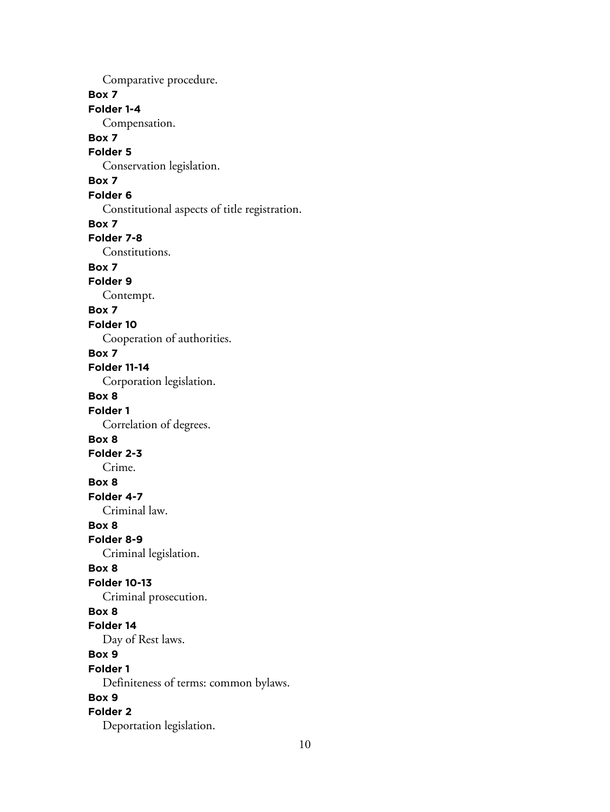Comparative procedure. **Box 7 Folder 1-4** Compensation. **Box 7 Folder 5** Conservation legislation. **Box 7 Folder 6** Constitutional aspects of title registration. **Box 7 Folder 7-8** Constitutions. **Box 7 Folder 9** Contempt. **Box 7 Folder 10** Cooperation of authorities. **Box 7 Folder 11-14** Corporation legislation. **Box 8 Folder 1** Correlation of degrees. **Box 8 Folder 2-3** Crime. **Box 8 Folder 4-7** Criminal law. **Box 8 Folder 8-9** Criminal legislation. **Box 8 Folder 10-13** Criminal prosecution. **Box 8 Folder 14** Day of Rest laws. **Box 9 Folder 1** Definiteness of terms: common bylaws. **Box 9 Folder 2** Deportation legislation.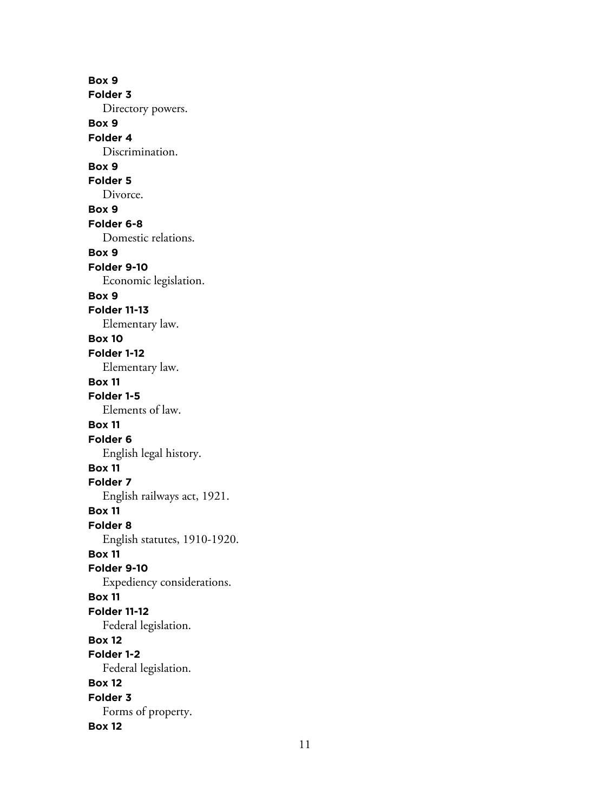**Box 9 Folder 3** Directory powers. **Box 9 Folder 4** Discrimination. **Box 9 Folder 5** Divorce. **Box 9 Folder 6-8** Domestic relations. **Box 9 Folder 9-10** Economic legislation. **Box 9 Folder 11-13** Elementary law. **Box 10 Folder 1-12** Elementary law. **Box 11 Folder 1-5** Elements of law. **Box 11 Folder 6** English legal history. **Box 11 Folder 7** English railways act, 1921. **Box 11 Folder 8** English statutes, 1910-1920. **Box 11 Folder 9-10** Expediency considerations. **Box 11 Folder 11-12** Federal legislation. **Box 12 Folder 1-2** Federal legislation. **Box 12 Folder 3** Forms of property. **Box 12**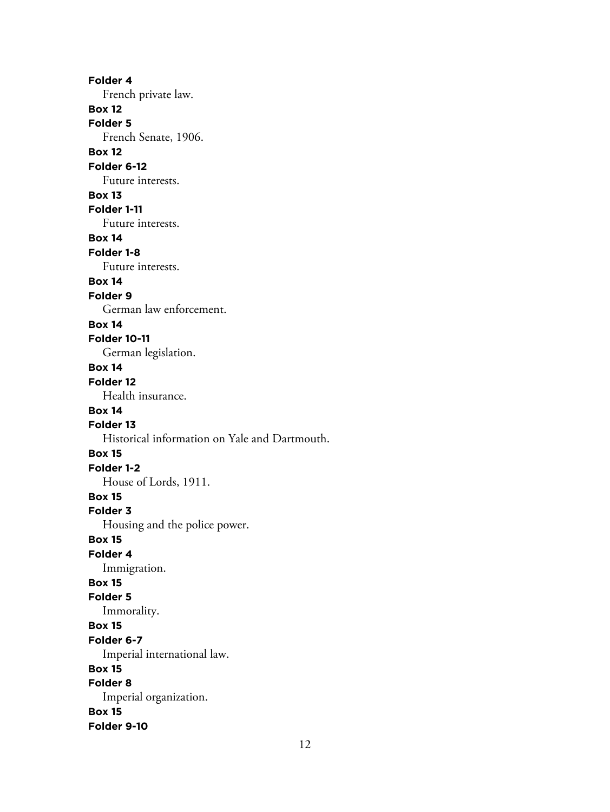**Folder 4** French private law. **Box 12 Folder 5** French Senate, 1906. **Box 12 Folder 6-12** Future interests. **Box 13 Folder 1-11** Future interests. **Box 14 Folder 1-8** Future interests. **Box 14 Folder 9** German law enforcement. **Box 14 Folder 10-11** German legislation. **Box 14 Folder 12** Health insurance. **Box 14 Folder 13** Historical information on Yale and Dartmouth. **Box 15 Folder 1-2** House of Lords, 1911. **Box 15 Folder 3** Housing and the police power. **Box 15 Folder 4** Immigration. **Box 15 Folder 5** Immorality. **Box 15 Folder 6-7** Imperial international law. **Box 15 Folder 8** Imperial organization. **Box 15 Folder 9-10**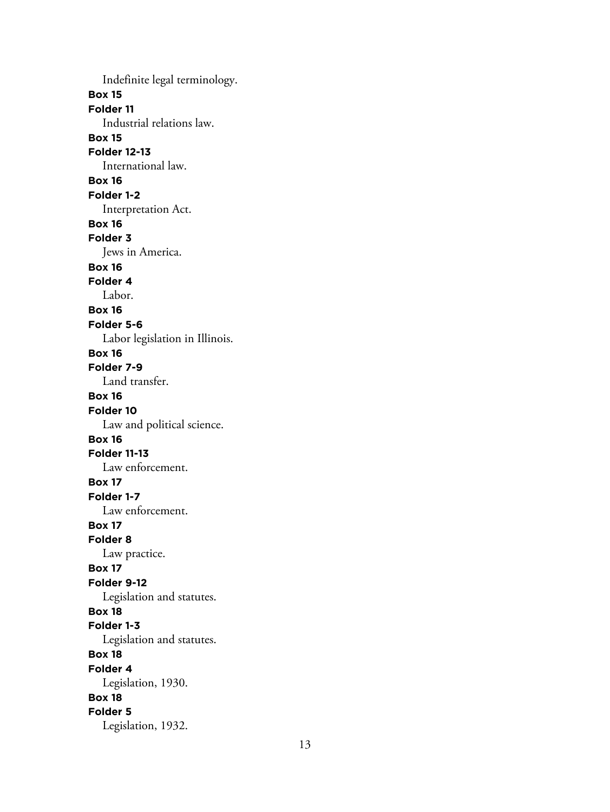Indefinite legal terminology. **Box 15 Folder 11** Industrial relations law. **Box 15 Folder 12-13** International law. **Box 16 Folder 1-2** Interpretation Act. **Box 16 Folder 3** Jews in America. **Box 16 Folder 4** Labor. **Box 16 Folder 5-6** Labor legislation in Illinois. **Box 16 Folder 7-9** Land transfer. **Box 16 Folder 10** Law and political science. **Box 16 Folder 11-13** Law enforcement. **Box 17 Folder 1-7** Law enforcement. **Box 17 Folder 8** Law practice. **Box 17 Folder 9-12** Legislation and statutes. **Box 18 Folder 1-3** Legislation and statutes. **Box 18 Folder 4** Legislation, 1930. **Box 18 Folder 5** Legislation, 1932.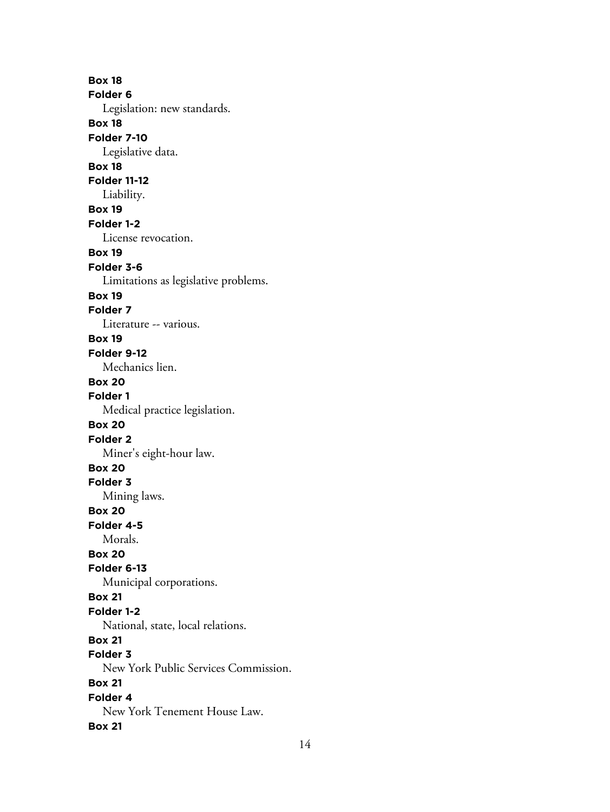**Box 18 Folder 6** Legislation: new standards. **Box 18 Folder 7-10** Legislative data. **Box 18 Folder 11-12** Liability. **Box 19 Folder 1-2** License revocation. **Box 19 Folder 3-6** Limitations as legislative problems. **Box 19 Folder 7** Literature -- various. **Box 19 Folder 9-12** Mechanics lien. **Box 20 Folder 1** Medical practice legislation. **Box 20 Folder 2** Miner's eight-hour law. **Box 20 Folder 3** Mining laws. **Box 20 Folder 4-5** Morals. **Box 20 Folder 6-13** Municipal corporations. **Box 21 Folder 1-2** National, state, local relations. **Box 21 Folder 3** New York Public Services Commission. **Box 21 Folder 4** New York Tenement House Law. **Box 21**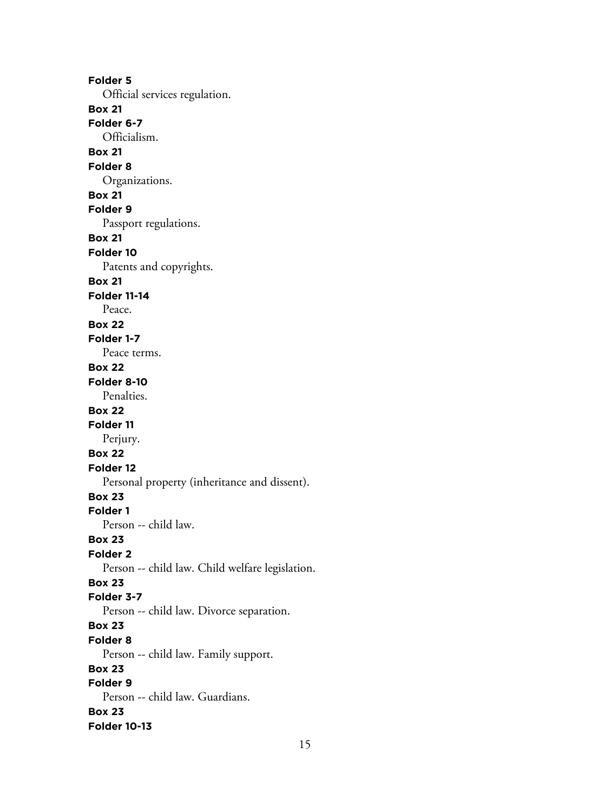**Folder 5** Official services regulation. **Box 21 Folder 6-7** Officialism. **Box 21 Folder 8** Organizations. **Box 21 Folder 9** Passport regulations. **Box 21 Folder 10** Patents and copyrights. **Box 21 Folder 11-14** Peace. **Box 22 Folder 1-7** Peace terms. **Box 22 Folder 8-10** Penalties. **Box 22 Folder 11** Perjury. **Box 22 Folder 12** Personal property (inheritance and dissent). **Box 23 Folder 1** Person -- child law. **Box 23 Folder 2** Person -- child law. Child welfare legislation. **Box 23 Folder 3-7** Person -- child law. Divorce separation. **Box 23 Folder 8** Person -- child law. Family support. **Box 23 Folder 9** Person -- child law. Guardians. **Box 23 Folder 10-13**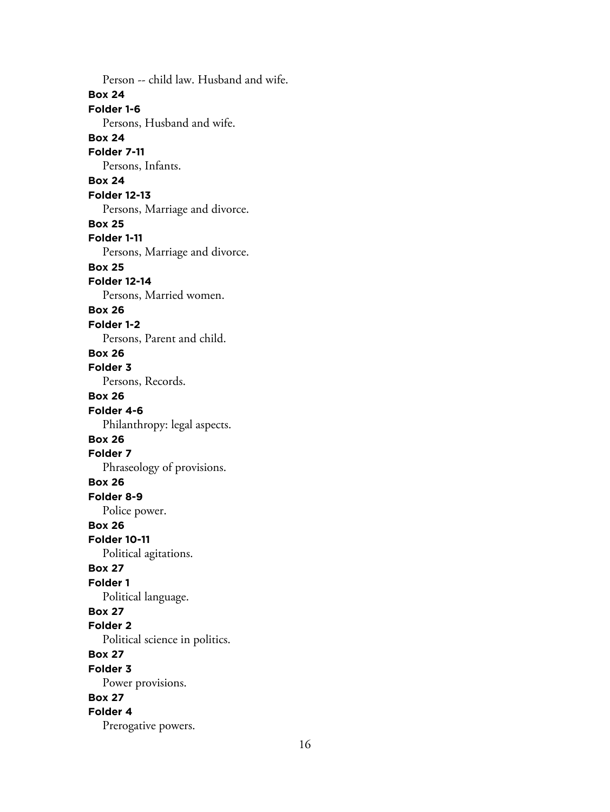Person -- child law. Husband and wife. **Box 24 Folder 1-6** Persons, Husband and wife. **Box 24 Folder 7-11** Persons, Infants. **Box 24 Folder 12-13** Persons, Marriage and divorce. **Box 25 Folder 1-11** Persons, Marriage and divorce. **Box 25 Folder 12-14** Persons, Married women. **Box 26 Folder 1-2** Persons, Parent and child. **Box 26 Folder 3** Persons, Records. **Box 26 Folder 4-6** Philanthropy: legal aspects. **Box 26 Folder 7** Phraseology of provisions. **Box 26 Folder 8-9** Police power. **Box 26 Folder 10-11** Political agitations. **Box 27 Folder 1** Political language. **Box 27 Folder 2** Political science in politics. **Box 27 Folder 3** Power provisions. **Box 27 Folder 4** Prerogative powers.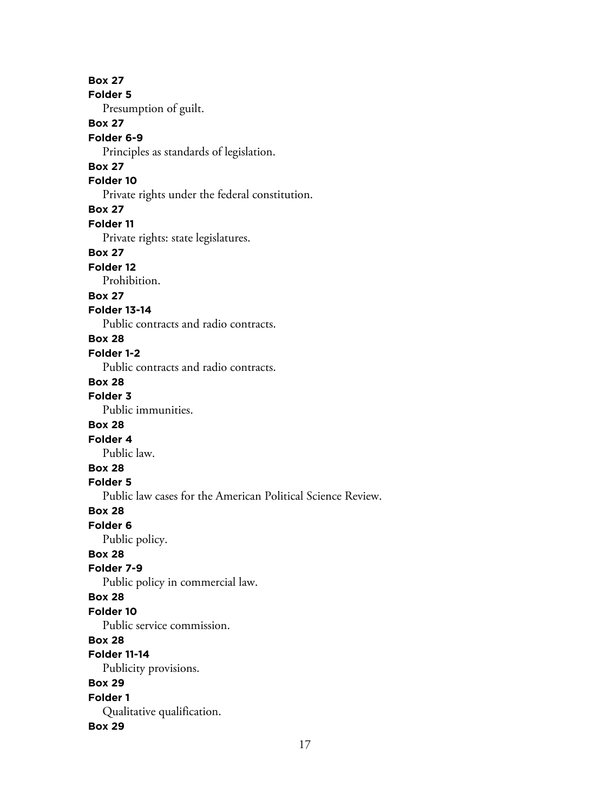**Box 27 Folder 5** Presumption of guilt. **Box 27 Folder 6-9** Principles as standards of legislation. **Box 27 Folder 10** Private rights under the federal constitution. **Box 27 Folder 11** Private rights: state legislatures. **Box 27 Folder 12** Prohibition. **Box 27 Folder 13-14** Public contracts and radio contracts. **Box 28 Folder 1-2** Public contracts and radio contracts. **Box 28 Folder 3** Public immunities. **Box 28 Folder 4** Public law. **Box 28 Folder 5** Public law cases for the American Political Science Review. **Box 28 Folder 6** Public policy. **Box 28 Folder 7-9** Public policy in commercial law. **Box 28 Folder 10** Public service commission. **Box 28 Folder 11-14** Publicity provisions. **Box 29 Folder 1** Qualitative qualification. **Box 29**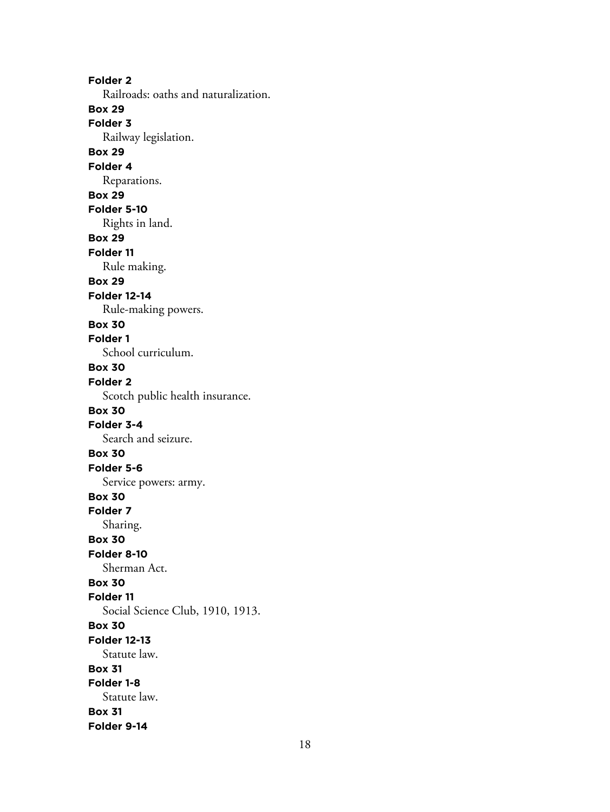**Folder 2** Railroads: oaths and naturalization. **Box 29 Folder 3** Railway legislation. **Box 29 Folder 4** Reparations. **Box 29 Folder 5-10** Rights in land. **Box 29 Folder 11** Rule making. **Box 29 Folder 12-14** Rule-making powers. **Box 30 Folder 1** School curriculum. **Box 30 Folder 2** Scotch public health insurance. **Box 30 Folder 3-4** Search and seizure. **Box 30 Folder 5-6** Service powers: army. **Box 30 Folder 7** Sharing. **Box 30 Folder 8-10** Sherman Act. **Box 30 Folder 11** Social Science Club, 1910, 1913. **Box 30 Folder 12-13** Statute law. **Box 31 Folder 1-8** Statute law. **Box 31 Folder 9-14**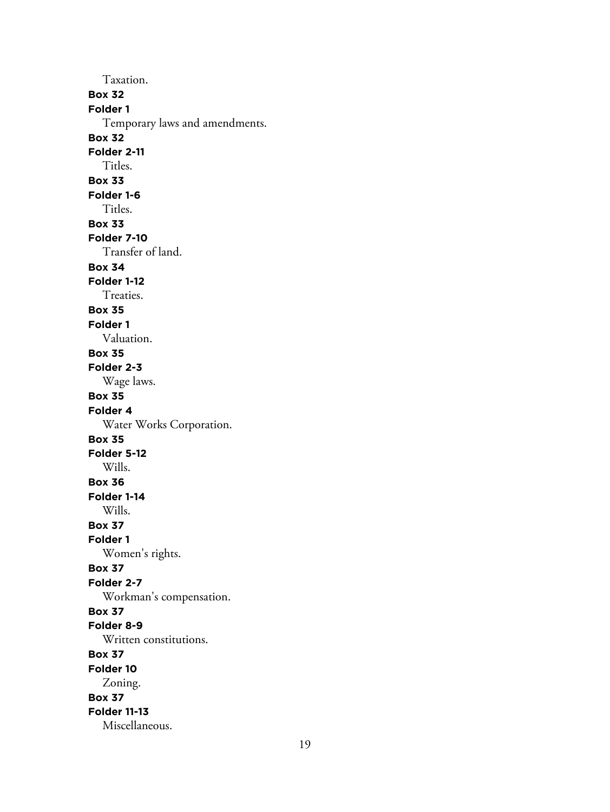Taxation. **Box 32 Folder 1** Temporary laws and amendments. **Box 32 Folder 2-11** Titles. **Box 33 Folder 1-6** Titles. **Box 33 Folder 7-10** Transfer of land. **Box 34 Folder 1-12** Treaties. **Box 35 Folder 1** Valuation. **Box 35 Folder 2-3** Wage laws. **Box 35 Folder 4** Water Works Corporation. **Box 35 Folder 5-12** Wills. **Box 36 Folder 1-14** Wills. **Box 37 Folder 1** Women's rights. **Box 37 Folder 2-7** Workman's compensation. **Box 37 Folder 8-9** Written constitutions. **Box 37 Folder 10** Zoning. **Box 37 Folder 11-13** Miscellaneous.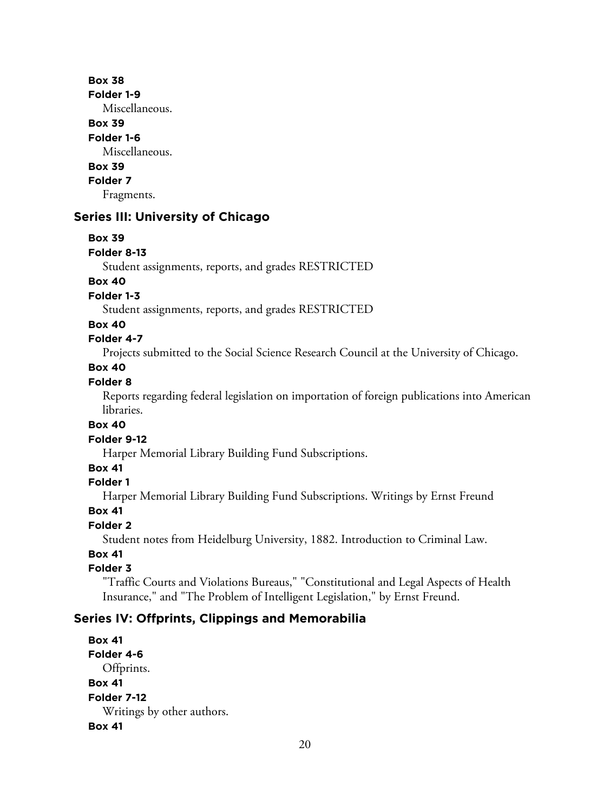#### **Box 38**

**Folder 1-9**

Miscellaneous.

## **Box 39**

#### **Folder 1-6**

Miscellaneous.

# **Box 39**

**Folder 7**

Fragments.

## **Series III: University of Chicago**

## **Box 39**

**Folder 8-13**

Student assignments, reports, and grades RESTRICTED

## **Box 40**

**Folder 1-3**

Student assignments, reports, and grades RESTRICTED

## **Box 40**

## **Folder 4-7**

Projects submitted to the Social Science Research Council at the University of Chicago.

## **Box 40**

## **Folder 8**

Reports regarding federal legislation on importation of foreign publications into American libraries.

## **Box 40**

#### **Folder 9-12**

Harper Memorial Library Building Fund Subscriptions.

## **Box 41**

## **Folder 1**

Harper Memorial Library Building Fund Subscriptions. Writings by Ernst Freund

## **Box 41**

## **Folder 2**

Student notes from Heidelburg University, 1882. Introduction to Criminal Law.

## **Box 41**

## **Folder 3**

"Traffic Courts and Violations Bureaus," "Constitutional and Legal Aspects of Health Insurance," and "The Problem of Intelligent Legislation," by Ernst Freund.

# **Series IV: Offprints, Clippings and Memorabilia**

**Box 41 Folder 4-6** Offprints. **Box 41 Folder 7-12** Writings by other authors. **Box 41**